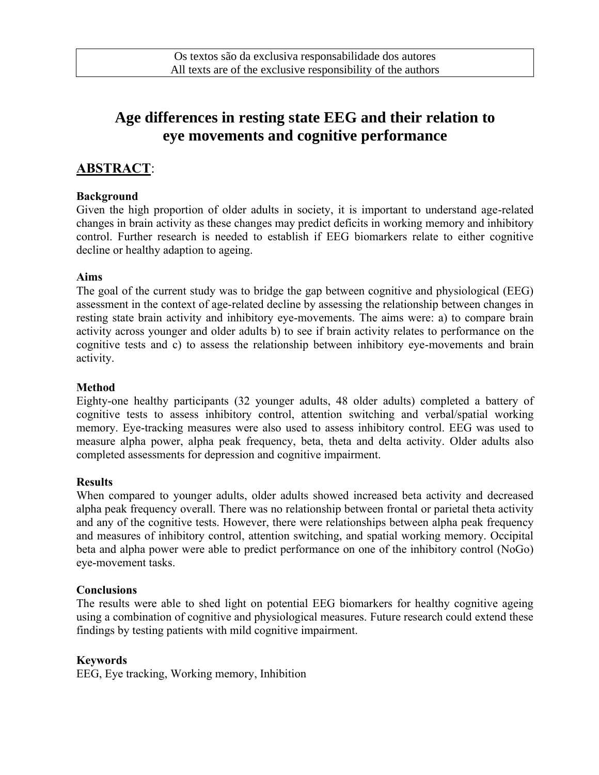# **Age differences in resting state EEG and their relation to eye movements and cognitive performance**

## **ABSTRACT**:

#### **Background**

Given the high proportion of older adults in society, it is important to understand age-related changes in brain activity as these changes may predict deficits in working memory and inhibitory control. Further research is needed to establish if EEG biomarkers relate to either cognitive decline or healthy adaption to ageing.

#### **Aims**

The goal of the current study was to bridge the gap between cognitive and physiological (EEG) assessment in the context of age-related decline by assessing the relationship between changes in resting state brain activity and inhibitory eye-movements. The aims were: a) to compare brain activity across younger and older adults b) to see if brain activity relates to performance on the cognitive tests and c) to assess the relationship between inhibitory eye-movements and brain activity.

#### **Method**

Eighty-one healthy participants (32 younger adults, 48 older adults) completed a battery of cognitive tests to assess inhibitory control, attention switching and verbal/spatial working memory. Eye-tracking measures were also used to assess inhibitory control. EEG was used to measure alpha power, alpha peak frequency, beta, theta and delta activity. Older adults also completed assessments for depression and cognitive impairment.

#### **Results**

When compared to younger adults, older adults showed increased beta activity and decreased alpha peak frequency overall. There was no relationship between frontal or parietal theta activity and any of the cognitive tests. However, there were relationships between alpha peak frequency and measures of inhibitory control, attention switching, and spatial working memory. Occipital beta and alpha power were able to predict performance on one of the inhibitory control (NoGo) eye-movement tasks.

#### **Conclusions**

The results were able to shed light on potential EEG biomarkers for healthy cognitive ageing using a combination of cognitive and physiological measures. Future research could extend these findings by testing patients with mild cognitive impairment.

#### **Keywords**

EEG, Eye tracking, Working memory, Inhibition